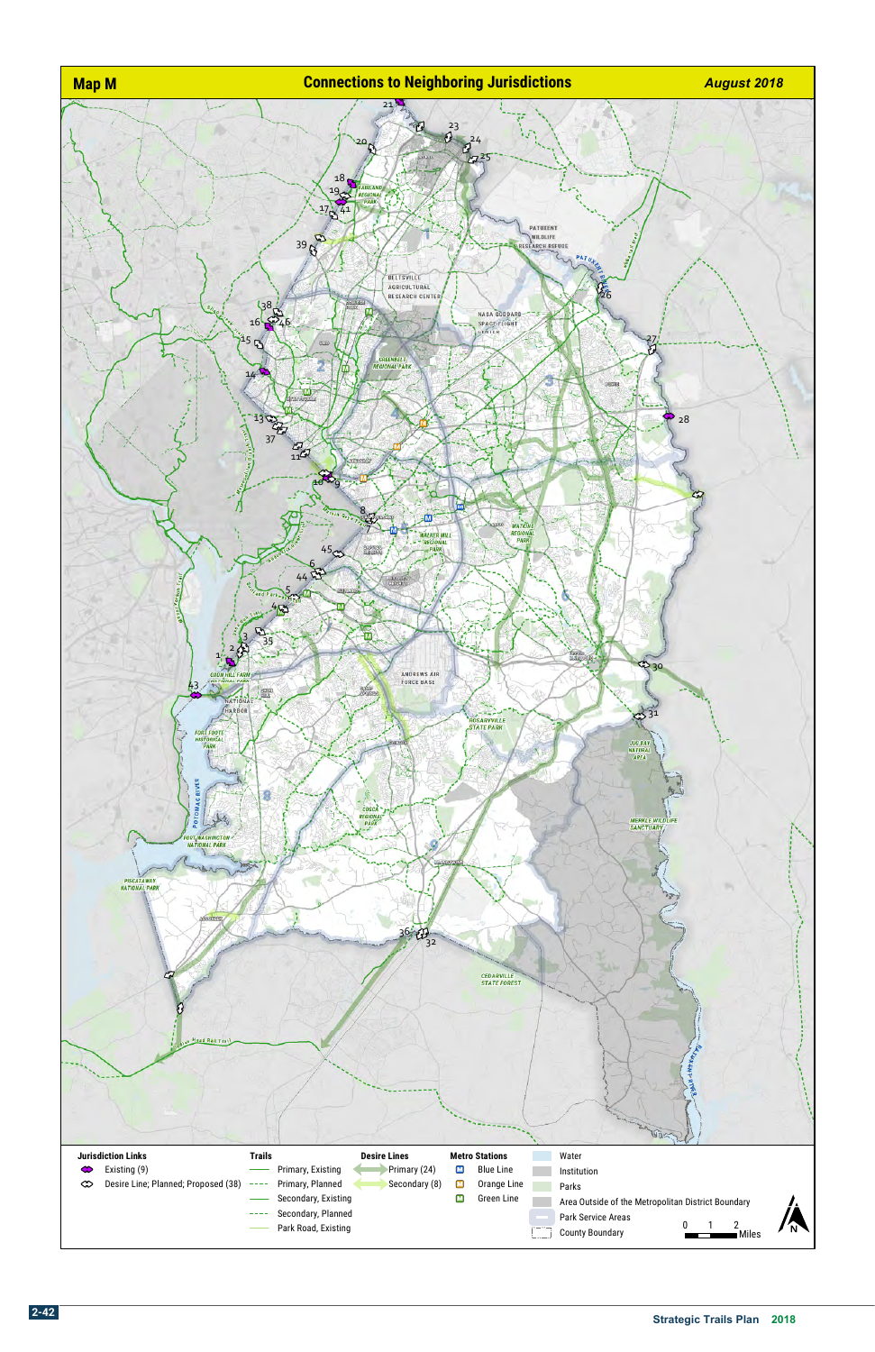

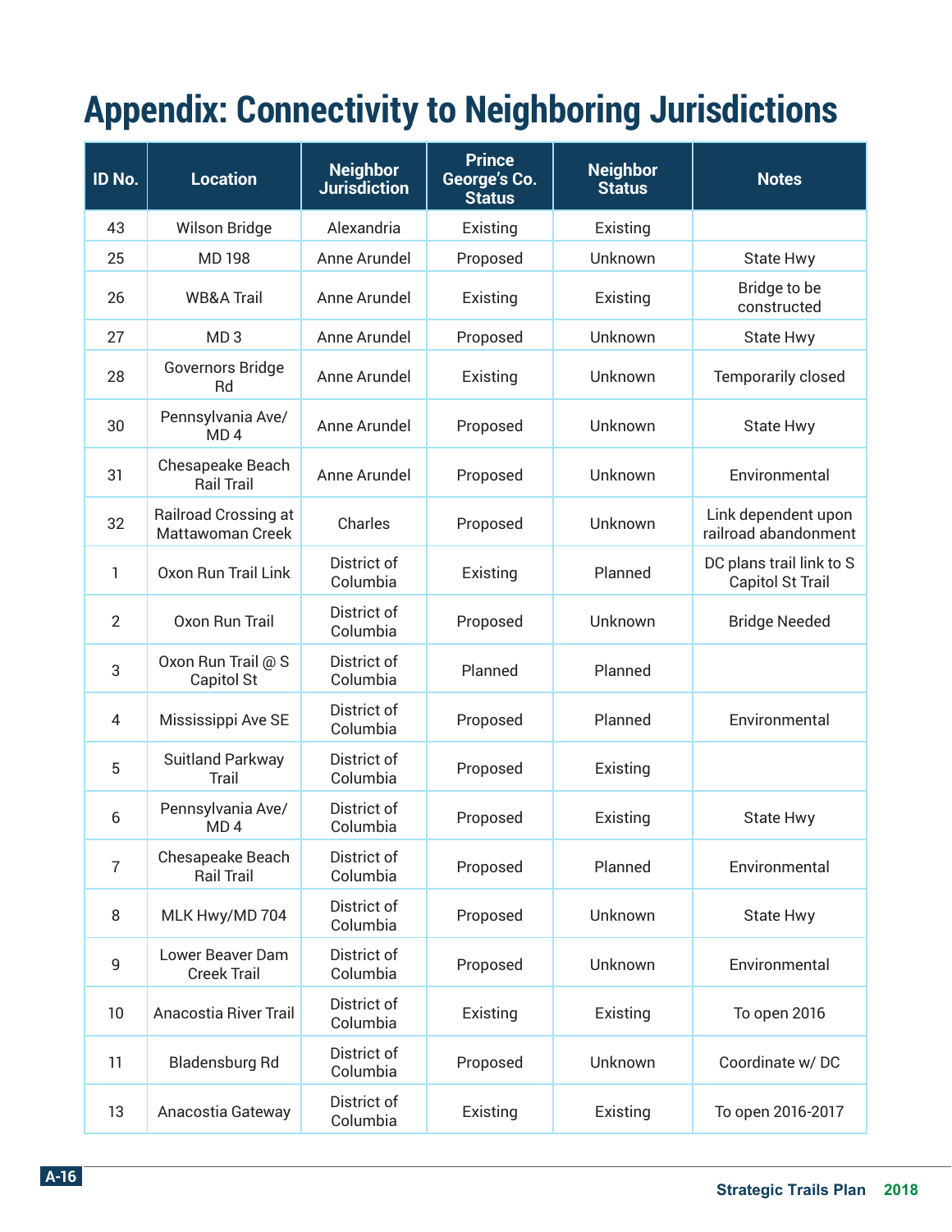## **Appendix: Connectivity to Neighboring Jurisdictions**

| ID No.         | <b>Location</b>                          | <b>Neighbor</b><br><b>Jurisdiction</b> | <b>Prince</b><br>George's Co.<br><b>Status</b> | <b>Neighbor</b><br><b>Status</b> | <b>Notes</b>                                 |
|----------------|------------------------------------------|----------------------------------------|------------------------------------------------|----------------------------------|----------------------------------------------|
| 43             | <b>Wilson Bridge</b>                     | Alexandria                             | Existing                                       | Existing                         |                                              |
| 25             | <b>MD198</b>                             | Anne Arundel                           | Proposed                                       | Unknown                          | State Hwy                                    |
| 26             | <b>WB&amp;A Trail</b>                    | Anne Arundel                           | Existing                                       | Existing                         | Bridge to be<br>constructed                  |
| 27             | MD <sub>3</sub>                          | Anne Arundel                           | Proposed                                       | Unknown                          | State Hwy                                    |
| 28             | Governors Bridge<br>Rd                   | Anne Arundel                           | Existing                                       | Unknown                          | <b>Temporarily closed</b>                    |
| 30             | Pennsylvania Ave/<br>MD <sub>4</sub>     | Anne Arundel                           | Proposed                                       | Unknown                          | <b>State Hwy</b>                             |
| 31             | Chesapeake Beach<br><b>Rail Trail</b>    | Anne Arundel                           | Proposed                                       | Unknown                          | Environmental                                |
| 32             | Railroad Crossing at<br>Mattawoman Creek | Charles                                | Proposed                                       | Unknown                          | Link dependent upon<br>railroad abandonment  |
| 1              | Oxon Run Trail Link                      | District of<br>Columbia                | Existing                                       | Planned                          | DC plans trail link to S<br>Capitol St Trail |
| $\overline{2}$ | Oxon Run Trail                           | District of<br>Columbia                | Proposed                                       | Unknown                          | <b>Bridge Needed</b>                         |
| 3              | Oxon Run Trail @ S<br>Capitol St         | District of<br>Columbia                | Planned                                        | Planned                          |                                              |
| 4              | Mississippi Ave SE                       | District of<br>Columbia                | Proposed                                       | Planned                          | Environmental                                |
| 5              | <b>Suitland Parkway</b><br>Trail         | District of<br>Columbia                | Proposed                                       | Existing                         |                                              |
| 6              | Pennsylvania Ave/<br>MD <sub>4</sub>     | District of<br>Columbia                | Proposed                                       | Existing                         | <b>State Hwy</b>                             |
| $\overline{7}$ | Chesapeake Beach<br><b>Rail Trail</b>    | District of<br>Columbia                | Proposed                                       | Planned                          | Environmental                                |
| 8              | MLK Hwy/MD 704                           | District of<br>Columbia                | Proposed                                       | Unknown                          | State Hwy                                    |
| 9              | Lower Beaver Dam<br><b>Creek Trail</b>   | District of<br>Columbia                | Proposed                                       | Unknown                          | Environmental                                |
| 10             | Anacostia River Trail                    | District of<br>Columbia                | Existing                                       | Existing                         | To open 2016                                 |
| 11             | Bladensburg Rd                           | District of<br>Columbia                | Proposed                                       | Unknown                          | Coordinate w/DC                              |
| 13             | Anacostia Gateway                        | District of<br>Columbia                | Existing                                       | Existing                         | To open 2016-2017                            |